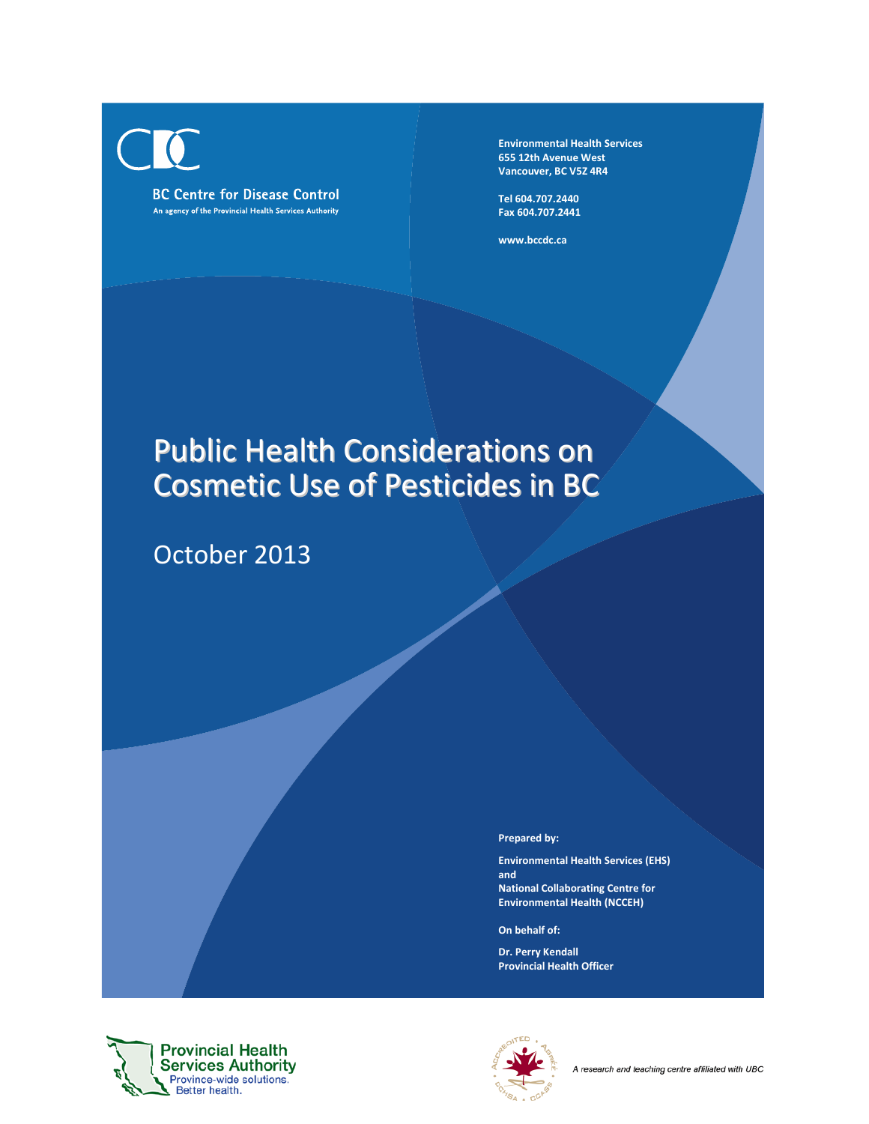

**Environmental Health Services 655 12th Avenue West Vancouver, BC V5Z 4R4**

**Tel 604.707.2440 Fax 604.707.2441**

**www.bccdc.ca**

# Public Health Considerations on Cosmetic Use of Pesticides in BC

October 2013

**Prepared by:**

**Environmental Health Services (EHS) and National Collaborating Centre for Environmental Health (NCCEH)**

**On behalf of:**

**Dr. Perry Kendall Provincial Health Officer**



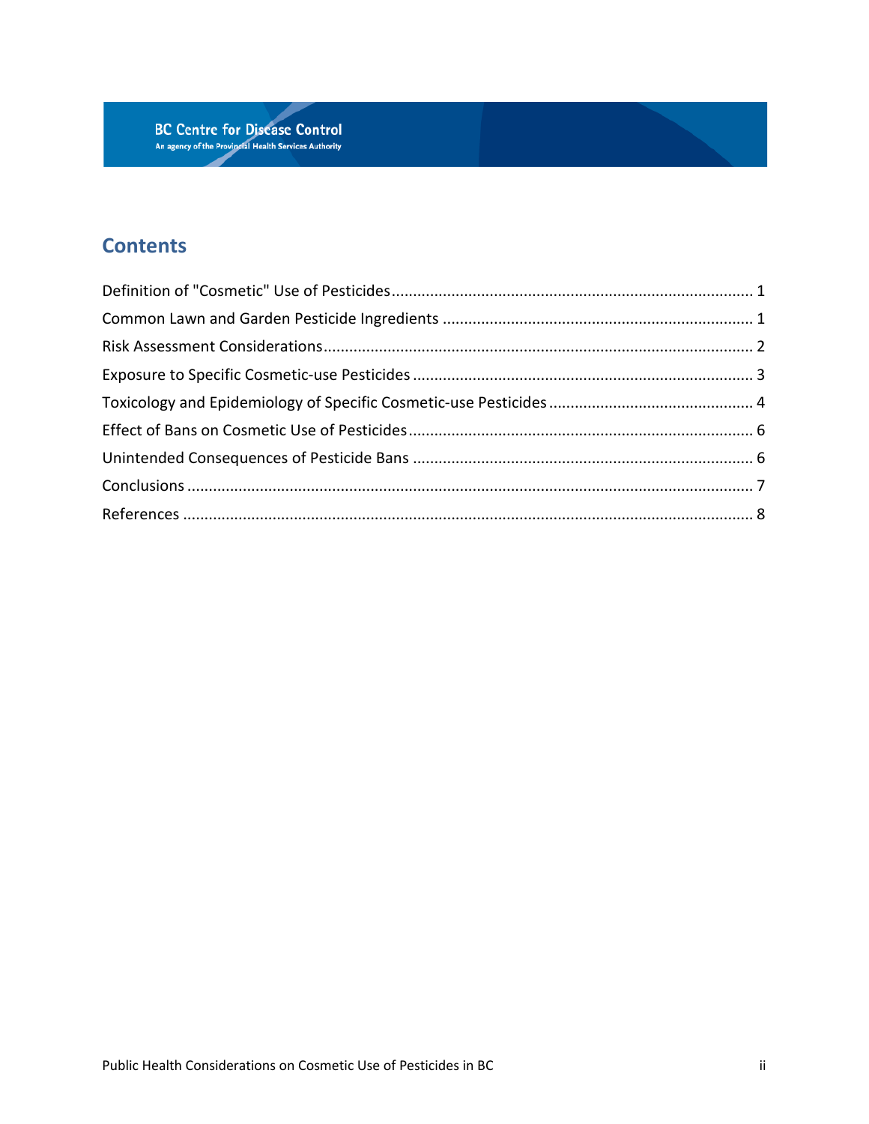

# **Contents**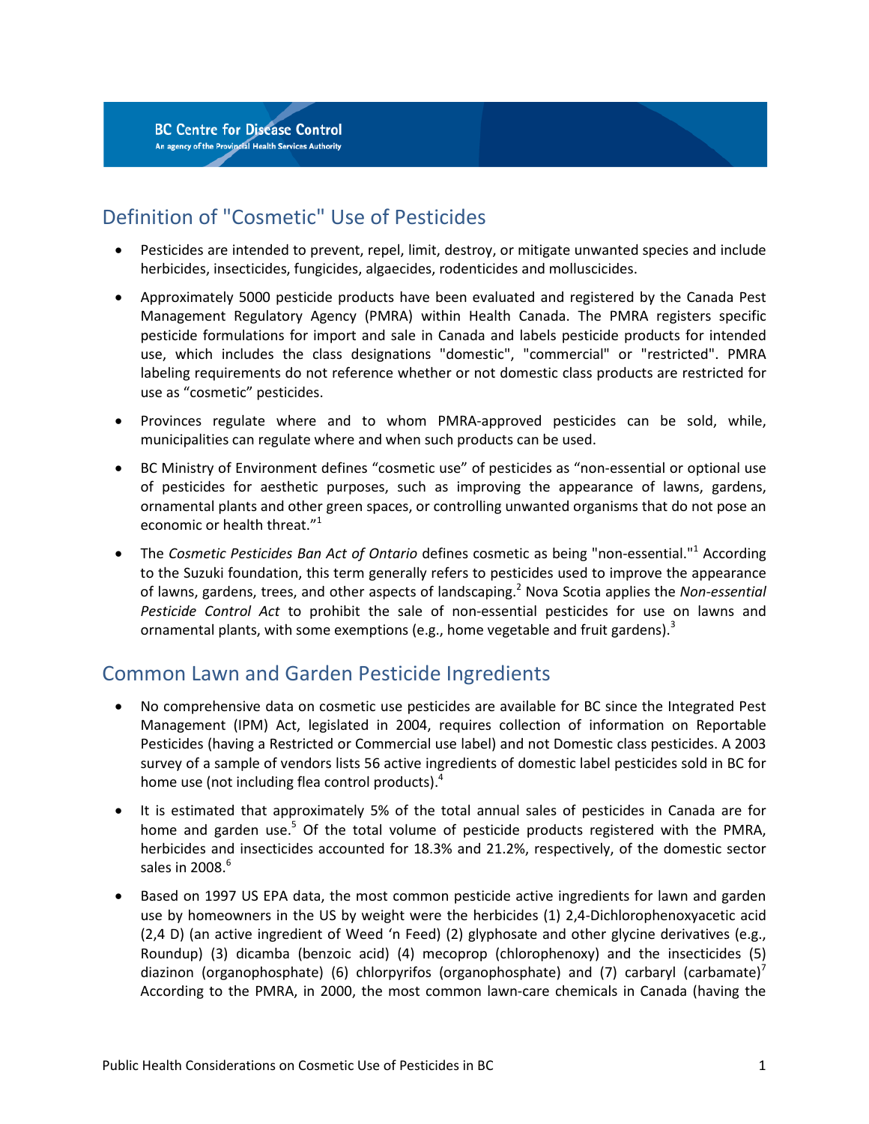# <span id="page-2-0"></span>Definition of "Cosmetic" Use of Pesticides

- Pesticides are intended to prevent, repel, limit, destroy, or mitigate unwanted species and include herbicides, insecticides, fungicides, algaecides, rodenticides and molluscicides.
- Approximately 5000 pesticide products have been evaluated and registered by the Canada Pest Management Regulatory Agency (PMRA) within Health Canada. The PMRA registers specific pesticide formulations for import and sale in Canada and labels pesticide products for intended use, which includes the class designations "domestic", "commercial" or "restricted". PMRA labeling requirements do not reference whether or not domestic class products are restricted for use as "cosmetic" pesticides.
- Provinces regulate where and to whom PMRA-approved pesticides can be sold, while, municipalities can regulate where and when such products can be used.
- BC Ministry of Environment defines "cosmetic use" of pesticides as "non-essential or optional use of pesticides for aesthetic purposes, such as improving the appearance of lawns, gardens, ornamental plants and other green spaces, or controlling unwanted organisms that do not pose an economic or health threat."<sup>1</sup>
- The *Cosmetic Pesticides Ban Act of Ontario* defines cosmetic as being "non-essential.["](#page-9-1)<sup>1</sup> According to the Suzuki foundation, this term generally refers to pesticides used to improve the appearance of lawns, gardens, trees, and other aspects of landscaping[.2](#page-9-2) Nova Scotia applies the *Non-essential Pesticide Control Act* to prohibit the sale of non-essential pesticides for use on lawns and ornamental plants, with some exemptions (e[.](#page-9-3)g., home vegetable and fruit gardens).<sup>3</sup>

## <span id="page-2-1"></span>Common Lawn and Garden Pesticide Ingredients

- No comprehensive data on cosmetic use pesticides are available for BC since the Integrated Pest Management (IPM) Act, legislated in 2004, requires collection of information on Reportable Pesticides (having a Restricted or Commercial use label) and not Domestic class pesticides. A 2003 survey of a sample of vendors lists 56 active ingredients of domestic label pesticides sold in BC for home use (not including flea control products).<sup>4</sup>
- It is estimated that approximately 5% of the total annual sales of pesticides in Canada are for home and garden use.<sup>5</sup> Of the total volume of pesticide products registered with the PMRA, herbicides and insecticides accounted for 18.3% and 21.2%, respectively, of the domestic sector sales in  $2008.<sup>6</sup>$
- Based on 1997 US EPA data, the most common pesticide active ingredients for lawn and garden use by homeowners in the US by weight were the herbicides (1) 2,4-Dichlorophenoxyacetic acid (2,4 D) (an active ingredient of Weed 'n Feed) (2) glyphosate and other glycine derivatives (e.g., Roundup) (3) dicamba (benzoic acid) (4) mecoprop (chlorophenoxy) and the insecticides (5) diazinon (organophosphate[\)](#page-9-7) (6) chlorpyrifos (organophosphate) and (7) carbaryl (carbamate)<sup>7</sup> According to the PMRA, in 2000, the most common lawn-care chemicals in Canada (having the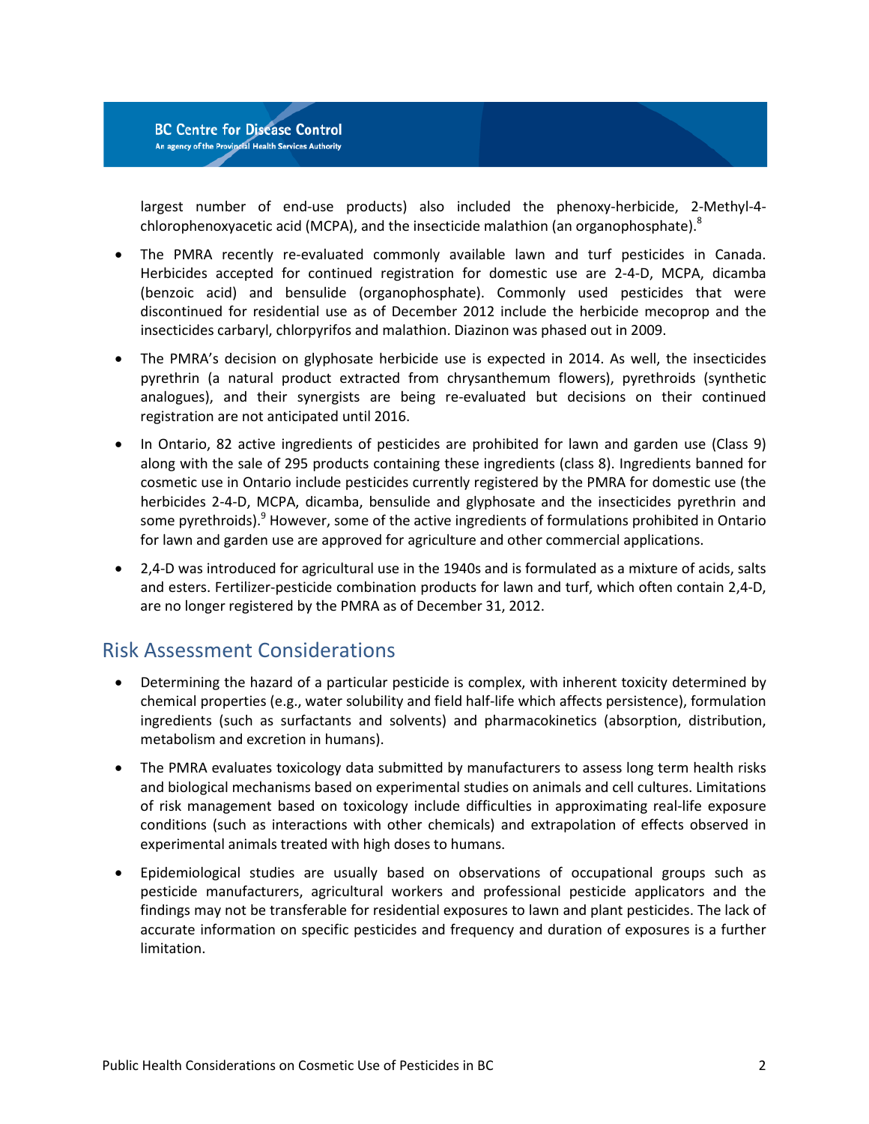largest number of end-use products) also included the phenoxy-herbicide, 2-Methyl-4- chlorophenoxyacetic acid (MCPA), and the insecticide malathion (an organophosphate)[.](#page-9-8)<sup>8</sup>

- The PMRA recently re-evaluated commonly available lawn and turf pesticides in Canada. Herbicides accepted for continued registration for domestic use are 2-4-D, MCPA, dicamba (benzoic acid) and bensulide (organophosphate). Commonly used pesticides that were discontinued for residential use as of December 2012 include the herbicide mecoprop and the insecticides carbaryl, chlorpyrifos and malathion. Diazinon was phased out in 2009.
- The PMRA's decision on glyphosate herbicide use is expected in 2014. As well, the insecticides pyrethrin (a natural product extracted from chrysanthemum flowers), pyrethroids (synthetic analogues), and their synergists are being re-evaluated but decisions on their continued registration are not anticipated until 2016.
- In Ontario, 82 active ingredients of pesticides are prohibited for lawn and garden use (Class 9) along with the sale of 295 products containing these ingredients (class 8). Ingredients banned for cosmetic use in Ontario include pesticides currently registered by the PMRA for domestic use (the herbicides 2-4-D, MCPA, dicamba, bensulide and glyphosate and the insecticides pyrethrin and some pyrethroids).<sup>9</sup> However, some of the active ingredients of formulations prohibited in Ontario for lawn and garden use are approved for agriculture and other commercial applications.
- 2,4-D was introduced for agricultural use in the 1940s and is formulated as a mixture of acids, salts and esters. Fertilizer-pesticide combination products for lawn and turf, which often contain 2,4-D, are no longer registered by the PMRA as of December 31, 2012.

## <span id="page-3-0"></span>Risk Assessment Considerations

- Determining the hazard of a particular pesticide is complex, with inherent toxicity determined by chemical properties (e.g., water solubility and field half-life which affects persistence), formulation ingredients (such as surfactants and solvents) and pharmacokinetics (absorption, distribution, metabolism and excretion in humans).
- The PMRA evaluates toxicology data submitted by manufacturers to assess long term health risks and biological mechanisms based on experimental studies on animals and cell cultures. Limitations of risk management based on toxicology include difficulties in approximating real-life exposure conditions (such as interactions with other chemicals) and extrapolation of effects observed in experimental animals treated with high doses to humans.
- Epidemiological studies are usually based on observations of occupational groups such as pesticide manufacturers, agricultural workers and professional pesticide applicators and the findings may not be transferable for residential exposures to lawn and plant pesticides. The lack of accurate information on specific pesticides and frequency and duration of exposures is a further limitation.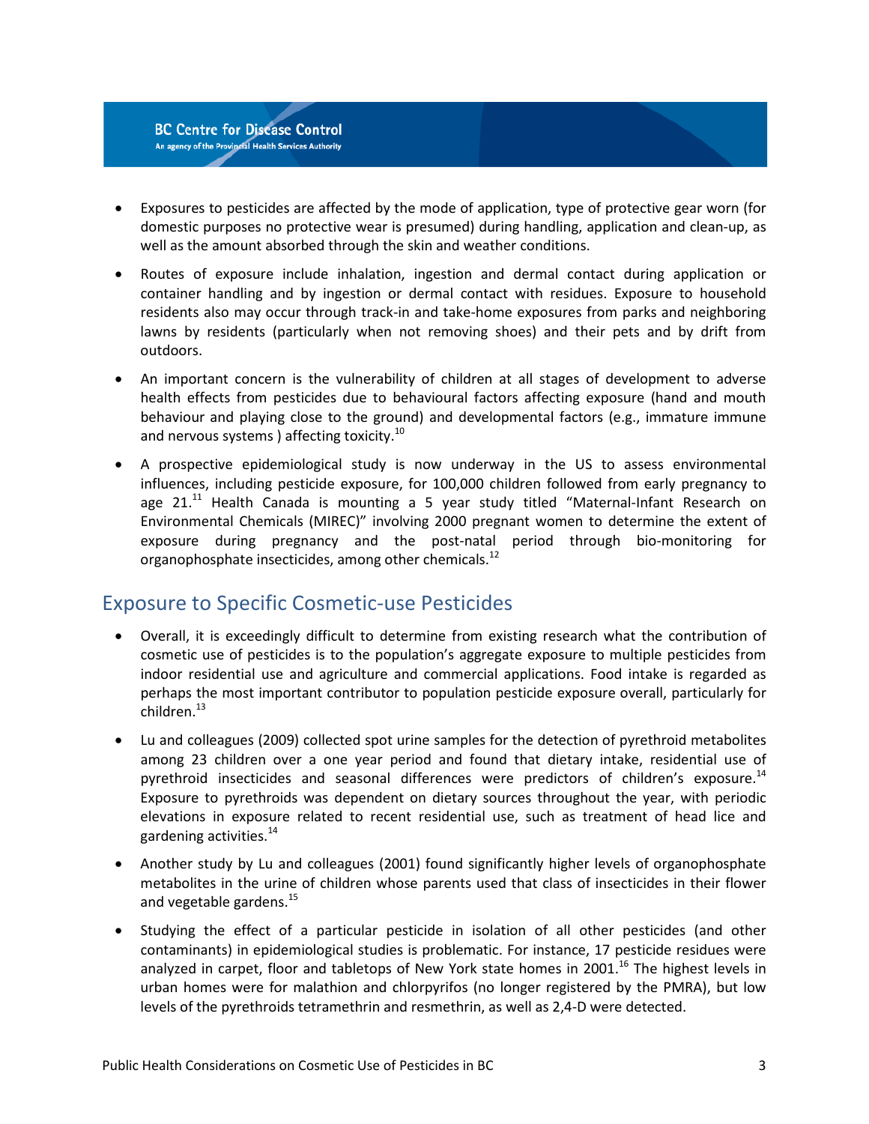

- Exposures to pesticides are affected by the mode of application, type of protective gear worn (for domestic purposes no protective wear is presumed) during handling, application and clean-up, as well as the amount absorbed through the skin and weather conditions.
- Routes of exposure include inhalation, ingestion and dermal contact during application or container handling and by ingestion or dermal contact with residues. Exposure to household residents also may occur through track-in and take-home exposures from parks and neighboring lawns by residents (particularly when not removing shoes) and their pets and by drift from outdoors.
- An important concern is the vulnerability of children at all stages of development to adverse health effects from pesticides due to behavioural factors affecting exposure (hand and mouth behaviour and playing close to the ground) and developmental factors (e.g., immature immune and nervous systems ) affecting toxicity.<sup>[10](#page-9-10)</sup>
- A prospective epidemiological study is now underway in the US to assess environmental influences, including pesticide exposure, for 100,000 children followed from early pregnancy to age  $21<sup>11</sup>$  Health Canada is mounting a 5 year study titled "Maternal-Infant Research on Environmental Chemicals (MIREC)" involving 2000 pregnant women to determine the extent of exposure during pregnancy and the post-natal period through bio-monitoring for organophosphate insecticides, among other chemicals.<sup>12</sup>

## <span id="page-4-0"></span>Exposure to Specific Cosmetic-use Pesticides

- Overall, it is exceedingly difficult to determine from existing research what the contribution of cosmetic use of pesticides is to the population's aggregate exposure to multiple pesticides from indoor residential use and agriculture and commercial applications. Food intake is regarded as perhaps the most important contributor to population pesticide exposure overall, particularly for children[.13](#page-9-13)
- Lu and colleagues (2009) collected spot urine samples for the detection of pyrethroid metabolites among 23 children over a one year period and found that dietary intake, residential use of pyrethroid insecticides and seasonal differences were predictors of children's exposure.<sup>14</sup> Exposure to pyrethroids was dependent on dietary sources throughout the year, with periodic elevations in exposure related to recent residential use, such as treatment of head lice and gardening activities.<sup>[14](#page-9-14)</sup>
- Another study by Lu and colleagues (2001) found significantly higher levels of organophosphate metabolites in the urine of children whose parents used that class of insecticides in their flower and vegetable gardens.<sup>15</sup>
- Studying the effect of a particular pesticide in isolation of all other pesticides (and other contaminants) in epidemiological studies is problematic. For instance, 17 pesticide residues were analyzed in carpet, floor and tabletops of New York state homes in 2001.<sup>[16](#page-10-1)</sup> The highest levels in urban homes were for malathion and chlorpyrifos (no longer registered by the PMRA), but low levels of the pyrethroids tetramethrin and resmethrin, as well as 2,4-D were detected.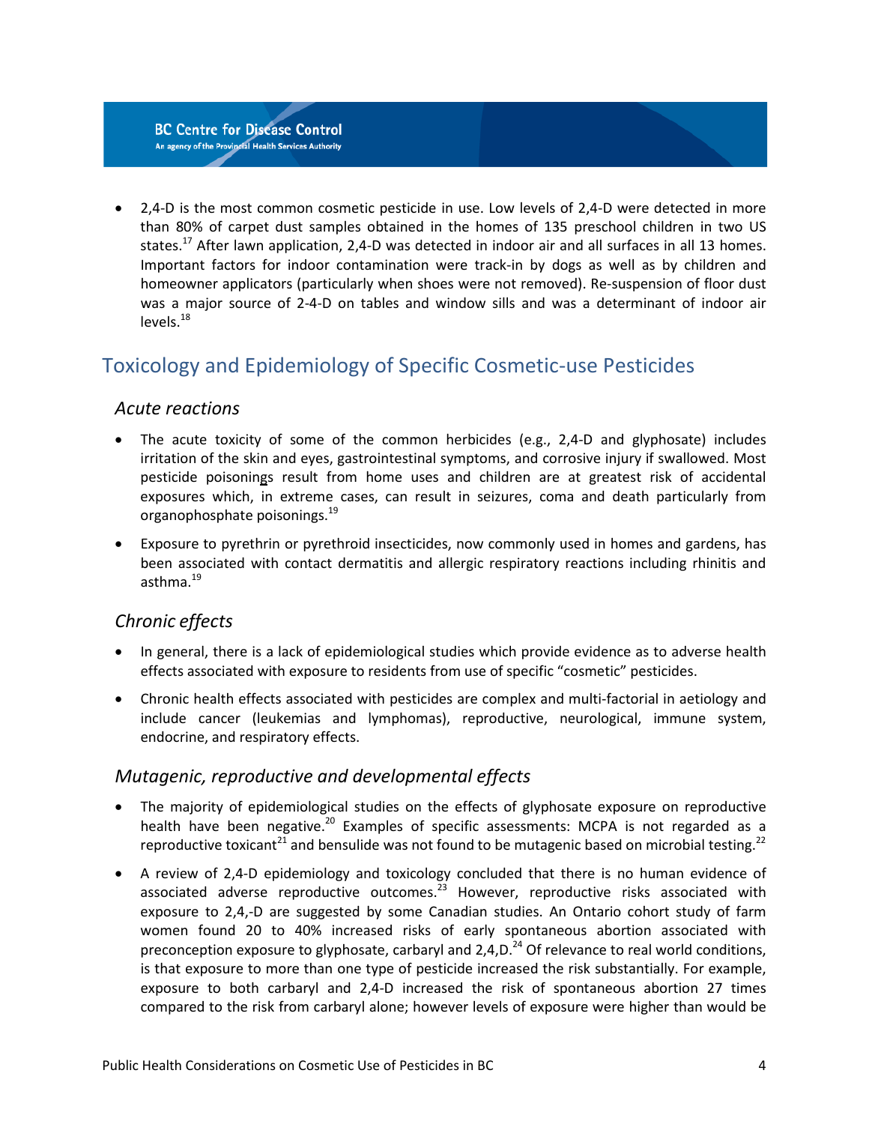• 2,4-D is the most common cosmetic pesticide in use. Low levels of 2,4-D were detected in more than 80% of carpet dust samples obtained in the homes of 135 preschool children in two US states.<sup>17</sup> After lawn application, 2,4-D was detected in indoor air and all surfaces in all 13 homes. Important factors for indoor contamination were track-in by dogs as well as by children and homeowner applicators (particularly when shoes were not removed). Re-suspension of floor dust was a major source of 2-4-D on tables and window sills and was a determinant of indoor air  $levels.<sup>18</sup>$  $levels.<sup>18</sup>$  $levels.<sup>18</sup>$ 

## <span id="page-5-0"></span>Toxicology and Epidemiology of Specific Cosmetic-use Pesticides

#### *Acute reactions*

- The acute toxicity of some of the common herbicides (e.g., 2,4-D and glyphosate) includes irritation of the skin and eyes, gastrointestinal symptoms, and corrosive injury if swallowed. Most pesticide poisonings result from home uses and children are at greatest risk of accidental exposures which, in extreme cases, can result in seizures, coma and death particularly from organophosphate poisonings[.19](#page-10-4)
- Exposure to pyrethrin or pyrethroid insecticides, now commonly used in homes and gardens, has been associated with contact dermatitis and allergic respiratory reactions including rhinitis and asthma.<sup>19</sup>

#### *Chronic effects*

- In general, there is a lack of epidemiological studies which provide evidence as to adverse health effects associated with exposure to residents from use of specific "cosmetic" pesticides.
- Chronic health effects associated with pesticides are complex and multi-factorial in aetiology and include cancer (leukemias and lymphomas), reproductive, neurological, immune system, endocrine, and respiratory effects.

#### *Mutagenic, reproductive and developmental effects*

- The majority of epidemiological studies on the effects of glyphosate exposure on reproductive health have been negative.<sup>20</sup> Examples of specific assessments: MCPA is not regarded as a reproductive toxicant<sup>[21](#page-10-6)</sup> and bensulide was not found to be mutagenic based on microbial testing.<sup>22</sup>
- A review of 2,4-D epidemiology and toxicology concluded that there is no human evidence of associated adverse reproductive outcomes. $^{23}$  However, reproductive risks associated with exposure to 2,4,-D are suggested by some Canadian studies. An Ontario cohort study of farm women found 20 to 40% increased risks of early spontaneous abortion associated with preconception exposure to glyphosate, carbaryl and 2,4,D.<sup>24</sup> Of relevance to real world conditions, is that exposure to more than one type of pesticide increased the risk substantially. For example, exposure to both carbaryl and 2,4-D increased the risk of spontaneous abortion 27 times compared to the risk from carbaryl alone; however levels of exposure were higher than would be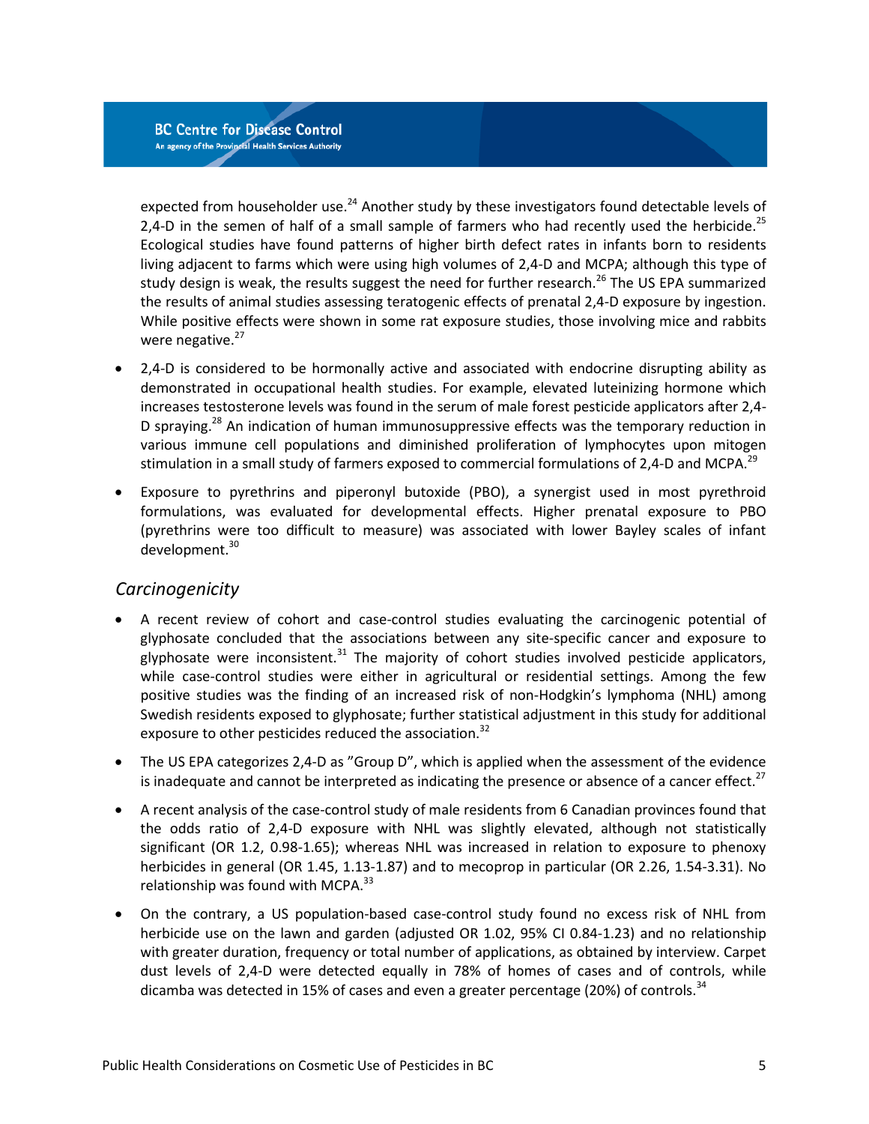expected from householder use.<sup>24</sup> Another study by these investigators found detectable levels of 2,4-D in the semen of half of a small sample of farmers who had recently used the herbicide.<sup>[25](#page-10-10)</sup> Ecological studies have found patterns of higher birth defect rates in infants born to residents living adjacent to farms which were using high volumes of 2,4-D and MCPA; although this type of study design is weak, the results suggest the need for further research.<sup>26</sup> The US EPA summarized the results of animal studies assessing teratogenic effects of prenatal 2,4-D exposure by ingestion. While positive effects were shown in some rat exposure studies, those involving mice and rabbits were negative.<sup>27</sup>

- 2,4-D is considered to be hormonally active and associated with endocrine disrupting ability as demonstrated in occupational health studies. For example, elevated luteinizing hormone which increases testosterone levels was found in the serum of male forest pesticide applicators after 2,4- D spraying.<sup>28</sup> An indication of human immunosuppressive effects was the temporary reduction in various immune cell populations and diminished proliferation of lymphocytes upon mitogen stimulation in a small study of farmers exposed to commercial formulations of 2,4-D and MCPA.<sup>29</sup>
- Exposure to pyrethrins and piperonyl butoxide (PBO), a synergist used in most pyrethroid formulations, was evaluated for developmental effects. Higher prenatal exposure to PBO (pyrethrins were too difficult to measure) was associated with lower Bayley scales of infant development.<sup>30</sup>

#### *Carcinogenicity*

- A recent review of cohort and case-control studies evaluating the carcinogenic potential of glyphosate concluded that the associations between any site-specific cancer and exposure to glyphosate were inconsistent. $31$  The majority of cohort studies involved pesticide applicators, while case-control studies were either in agricultural or residential settings. Among the few positive studies was the finding of an increased risk of non-Hodgkin's lymphoma (NHL) among Swedish residents exposed to glyphosate; further statistical adjustment in this study for additional exposure to other pesticides reduced the association.<sup>32</sup>
- The US EPA categorizes 2,4-D as "Group D", which is applied when the assessment of the evidence is inadequate and cannot be interpreted as indicating the presence or absence of a cancer effect. $^{27}$  $^{27}$  $^{27}$
- A recent analysis of the case-control study of male residents from 6 Canadian provinces found that the odds ratio of 2,4-D exposure with NHL was slightly elevated, although not statistically significant (OR 1.2, 0.98-1.65); whereas NHL was increased in relation to exposure to phenoxy herbicides in general (OR 1.45, 1.13-1.87) and to mecoprop in particular (OR 2.26, 1.54-3.31). No relationship was found with MCPA.<sup>[33](#page-11-1)</sup>
- On the contrary, a US population-based case-control study found no excess risk of NHL from herbicide use on the lawn and garden (adjusted OR 1.02, 95% CI 0.84-1.23) and no relationship with greater duration, frequency or total number of applications, as obtained by interview. Carpet dust levels of 2,4-D were detected equally in 78% of homes of cases and of controls, while dicamba was detected in 15% of cases and even a greater percentage (20%) of controls.<sup>[34](#page-11-2)</sup>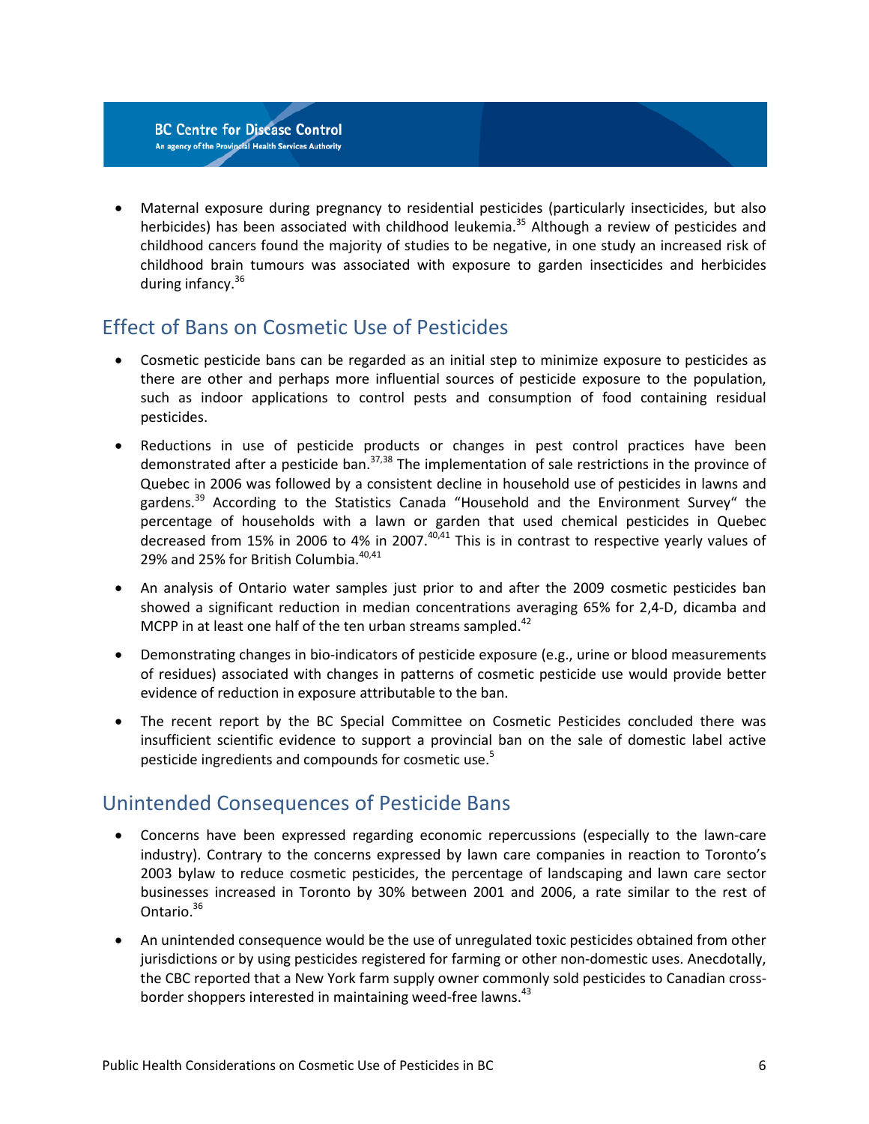• Maternal exposure during pregnancy to residential pesticides (particularly insecticides, but also herbicides) has been associated with childhood leukemia.<sup>35</sup> Although a review of pesticides and childhood cancers found the majority of studies to be negative, in one study an increased risk of childhood brain tumours was associated with exposure to garden insecticides and herbicides during infancy.<sup>36</sup>

## <span id="page-7-0"></span>Effect of Bans on Cosmetic Use of Pesticides

- Cosmetic pesticide bans can be regarded as an initial step to minimize exposure to pesticides as there are other and perhaps more influential sources of pesticide exposure to the population, such as indoor applications to control pests and consumption of food containing residual pesticides.
- Reductions in use of pesticide products or changes in pest control practices have been demonstrated after a pesticide ban. $37,38$  $37,38$  The implementation of sale restrictions in the province of Quebec in 2006 was followed by a consistent decline in household use of pesticides in lawns and gardens.<sup>39</sup> According to the Statistics Canada "Household and the Environment Survey" the percentage of households with a lawn or garden that used chemical pesticides in Quebec decreased from 15% in 2006 to 4% in 2007.<sup>40,[41](#page-11-9)</sup> This is in contrast to respective yearly values of 29% and 25% for British Columbia.<sup>40,[41](#page-11-9)</sup>
- An analysis of Ontario water samples just prior to and after the 2009 cosmetic pesticides ban showed a significant reduction in median concentrations averaging 65% for 2,4-D, dicamba and MCPP in at least one half of the ten urban streams sampled. $42$
- Demonstrating changes in bio-indicators of pesticide exposure (e.g., urine or blood measurements of residues) associated with changes in patterns of cosmetic pesticide use would provide better evidence of reduction in exposure attributable to the ban.
- The recent report by the BC Special Committee on Cosmetic Pesticides concluded there was insufficient scientific evidence to support a provincial ban on the sale of domestic label active pesticide ingredients and compounds for cosmetic use.<sup>5</sup>

## <span id="page-7-1"></span>Unintended Consequences of Pesticide Bans

- Concerns have been expressed regarding economic repercussions (especially to the lawn-care industry). Contrary to the concerns expressed by lawn care companies in reaction to Toronto's 2003 bylaw to reduce cosmetic pesticides, the percentage of landscaping and lawn care sector businesses increased in Toronto by 30% between 2001 and 2006, a rate similar to the rest of Ontario.<sup>36</sup>
- An unintended consequence would be the use of unregulated toxic pesticides obtained from other jurisdictions or by using pesticides registered for farming or other non-domestic uses. Anecdotally, the CBC reported that a New York farm supply owner commonly sold pesticides to Canadian cross-border shoppers interested in maintaining weed-free lawns.<sup>[43](#page-11-11)</sup>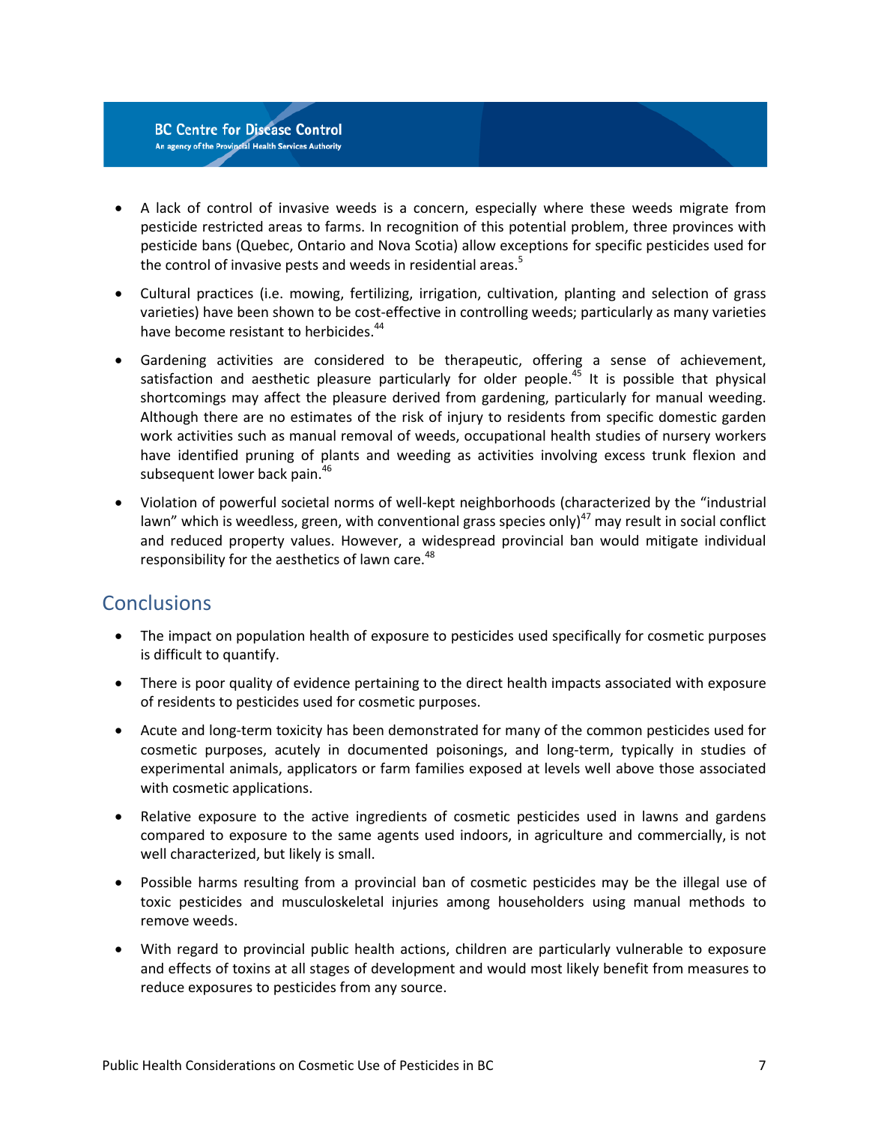- A lack of control of invasive weeds is a concern, especially where these weeds migrate from pesticide restricted areas to farms. In recognition of this potential problem, three provinces with pesticide bans (Quebec, Ontario and Nova Scotia) allow exceptions for specific pesticides used for the control of invasive pests and weeds in residential areas[.](#page-9-5)<sup>5</sup>
- Cultural practices (i.e. mowing, fertilizing, irrigation, cultivation, planting and selection of grass varieties) have been shown to be cost-effective in controlling weeds; particularly as many varieties have become resistant to herbicides.<sup>44</sup>
- Gardening activities are considered to be therapeutic, offering a sense of achievement, satisfaction and aesthetic pleasure particularly for older people.<sup>[45](#page-11-13)</sup> It is possible that physical shortcomings may affect the pleasure derived from gardening, particularly for manual weeding. Although there are no estimates of the risk of injury to residents from specific domestic garden work activities such as manual removal of weeds, occupational health studies of nursery workers have identified pruning of plants and weeding as activities involving excess trunk flexion and subsequent lower back pain.<sup>46</sup>
- Violation of powerful societal norms of well-kept neighborhoods (characterized by the "industrial lawn" which is weedless, green, with conventional grass species only) $47$  may result in social conflict and reduced property values. However, a widespread provincial ban would mitigate individual responsibility for the aesthetics of lawn care.<sup>[48](#page-11-16)</sup>

## <span id="page-8-0"></span>**Conclusions**

- The impact on population health of exposure to pesticides used specifically for cosmetic purposes is difficult to quantify.
- There is poor quality of evidence pertaining to the direct health impacts associated with exposure of residents to pesticides used for cosmetic purposes.
- Acute and long-term toxicity has been demonstrated for many of the common pesticides used for cosmetic purposes, acutely in documented poisonings, and long-term, typically in studies of experimental animals, applicators or farm families exposed at levels well above those associated with cosmetic applications.
- Relative exposure to the active ingredients of cosmetic pesticides used in lawns and gardens compared to exposure to the same agents used indoors, in agriculture and commercially, is not well characterized, but likely is small.
- Possible harms resulting from a provincial ban of cosmetic pesticides may be the illegal use of toxic pesticides and musculoskeletal injuries among householders using manual methods to remove weeds.
- With regard to provincial public health actions, children are particularly vulnerable to exposure and effects of toxins at all stages of development and would most likely benefit from measures to reduce exposures to pesticides from any source.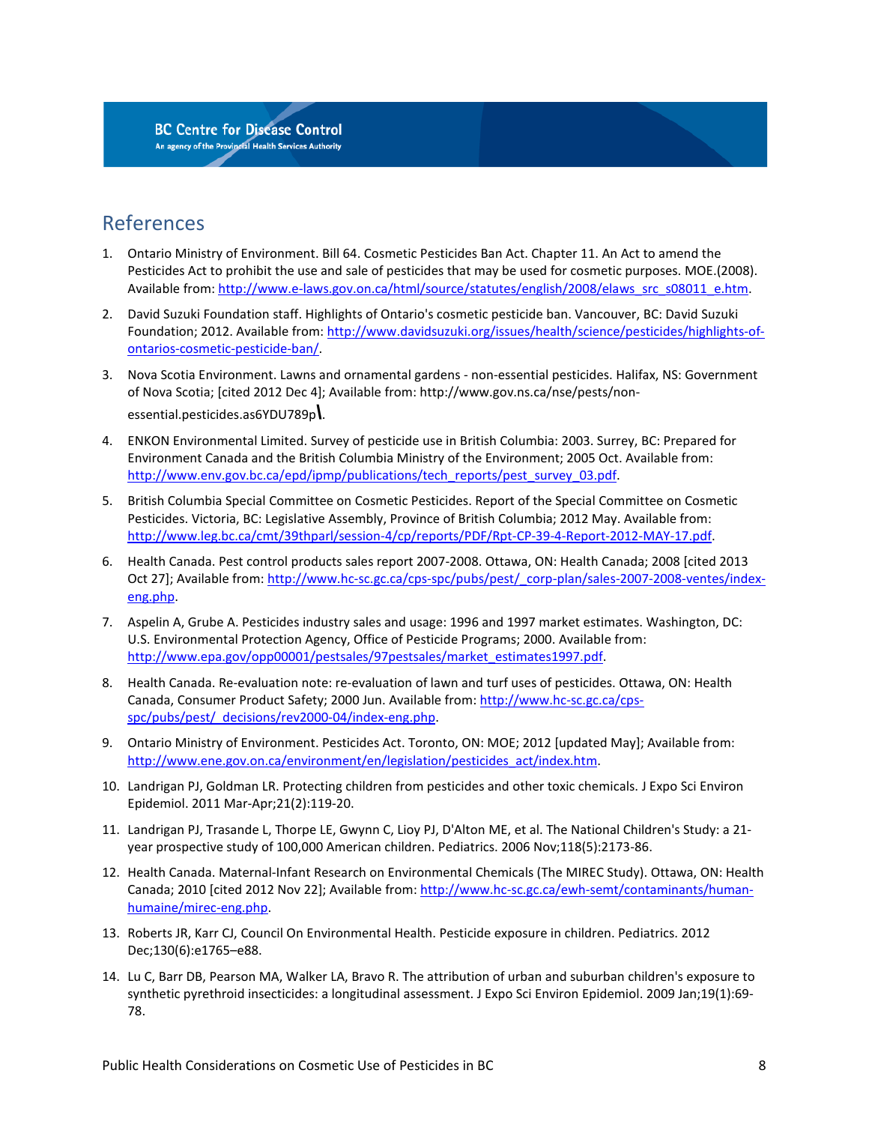## <span id="page-9-0"></span>References

- <span id="page-9-1"></span>1. Ontario Ministry of Environment. Bill 64. Cosmetic Pesticides Ban Act. Chapter 11. An Act to amend the Pesticides Act to prohibit the use and sale of pesticides that may be used for cosmetic purposes. MOE.(2008). Available from: [http://www.e-laws.gov.on.ca/html/source/statutes/english/2008/elaws\\_src\\_s08011\\_e.htm.](http://www.e-laws.gov.on.ca/html/source/statutes/english/2008/elaws_src_s08011_e.htm)
- <span id="page-9-2"></span>2. David Suzuki Foundation staff. Highlights of Ontario's cosmetic pesticide ban. Vancouver, BC: David Suzuki Foundation; 2012. Available from[: http://www.davidsuzuki.org/issues/health/science/pesticides/highlights-of](http://www.davidsuzuki.org/issues/health/science/pesticides/highlights-of-ontarios-cosmetic-pesticide-ban/)[ontarios-cosmetic-pesticide-ban/.](http://www.davidsuzuki.org/issues/health/science/pesticides/highlights-of-ontarios-cosmetic-pesticide-ban/)
- <span id="page-9-3"></span>3. Nova Scotia Environment. Lawns and ornamental gardens - non-essential pesticides. Halifax, NS: Government of Nova Scotia; [cited 2012 Dec 4]; Available from: http://www.gov.ns.ca/nse/pests/nonessential.pesticides.as6YDU789p**\**.
- <span id="page-9-4"></span>4. ENKON Environmental Limited. Survey of pesticide use in British Columbia: 2003. Surrey, BC: Prepared for Environment Canada and the British Columbia Ministry of the Environment; 2005 Oct. Available from: [http://www.env.gov.bc.ca/epd/ipmp/publications/tech\\_reports/pest\\_survey\\_03.pdf.](http://www.env.gov.bc.ca/epd/ipmp/publications/tech_reports/pest_survey_03.pdf)
- <span id="page-9-5"></span>5. British Columbia Special Committee on Cosmetic Pesticides. Report of the Special Committee on Cosmetic Pesticides. Victoria, BC: Legislative Assembly, Province of British Columbia; 2012 May. Available from: [http://www.leg.bc.ca/cmt/39thparl/session-4/cp/reports/PDF/Rpt-CP-39-4-Report-2012-MAY-17.pdf.](http://www.leg.bc.ca/cmt/39thparl/session-4/cp/reports/PDF/Rpt-CP-39-4-Report-2012-MAY-17.pdf)
- <span id="page-9-6"></span>6. Health Canada. Pest control products sales report 2007-2008. Ottawa, ON: Health Canada; 2008 [cited 2013 Oct 27]; Available from[: http://www.hc-sc.gc.ca/cps-spc/pubs/pest/\\_corp-plan/sales-2007-2008-ventes/index](http://www.hc-sc.gc.ca/cps-spc/pubs/pest/_corp-plan/sales-2007-2008-ventes/index-eng.php)[eng.php.](http://www.hc-sc.gc.ca/cps-spc/pubs/pest/_corp-plan/sales-2007-2008-ventes/index-eng.php)
- <span id="page-9-7"></span>7. Aspelin A, Grube A. Pesticides industry sales and usage: 1996 and 1997 market estimates. Washington, DC: U.S. Environmental Protection Agency, Office of Pesticide Programs; 2000. Available from: [http://www.epa.gov/opp00001/pestsales/97pestsales/market\\_estimates1997.pdf.](http://www.epa.gov/opp00001/pestsales/97pestsales/market_estimates1997.pdf)
- <span id="page-9-8"></span>8. Health Canada. Re-evaluation note: re-evaluation of lawn and turf uses of pesticides. Ottawa, ON: Health Canada, Consumer Product Safety; 2000 Jun. Available from: [http://www.hc-sc.gc.ca/cps](http://www.hc-sc.gc.ca/cps-spc/pubs/pest/_decisions/rev2000-04/index-eng.php)[spc/pubs/pest/\\_decisions/rev2000-04/index-eng.php.](http://www.hc-sc.gc.ca/cps-spc/pubs/pest/_decisions/rev2000-04/index-eng.php)
- <span id="page-9-9"></span>9. Ontario Ministry of Environment. Pesticides Act. Toronto, ON: MOE; 2012 [updated May]; Available from: [http://www.ene.gov.on.ca/environment/en/legislation/pesticides\\_act/index.htm.](http://www.ene.gov.on.ca/environment/en/legislation/pesticides_act/index.htm)
- <span id="page-9-10"></span>10. Landrigan PJ, Goldman LR. Protecting children from pesticides and other toxic chemicals. J Expo Sci Environ Epidemiol. 2011 Mar-Apr;21(2):119-20.
- <span id="page-9-11"></span>11. Landrigan PJ, Trasande L, Thorpe LE, Gwynn C, Lioy PJ, D'Alton ME, et al. The National Children's Study: a 21 year prospective study of 100,000 American children. Pediatrics. 2006 Nov;118(5):2173-86.
- <span id="page-9-12"></span>12. Health Canada. Maternal-Infant Research on Environmental Chemicals (The MIREC Study). Ottawa, ON: Health Canada; 2010 [cited 2012 Nov 22]; Available from[: http://www.hc-sc.gc.ca/ewh-semt/contaminants/human](http://www.hc-sc.gc.ca/ewh-semt/contaminants/human-humaine/mirec-eng.php)[humaine/mirec-eng.php.](http://www.hc-sc.gc.ca/ewh-semt/contaminants/human-humaine/mirec-eng.php)
- <span id="page-9-13"></span>13. Roberts JR, Karr CJ, Council On Environmental Health. Pesticide exposure in children. Pediatrics. 2012 Dec;130(6):e1765–e88.
- <span id="page-9-14"></span>14. Lu C, Barr DB, Pearson MA, Walker LA, Bravo R. The attribution of urban and suburban children's exposure to synthetic pyrethroid insecticides: a longitudinal assessment. J Expo Sci Environ Epidemiol. 2009 Jan;19(1):69- 78.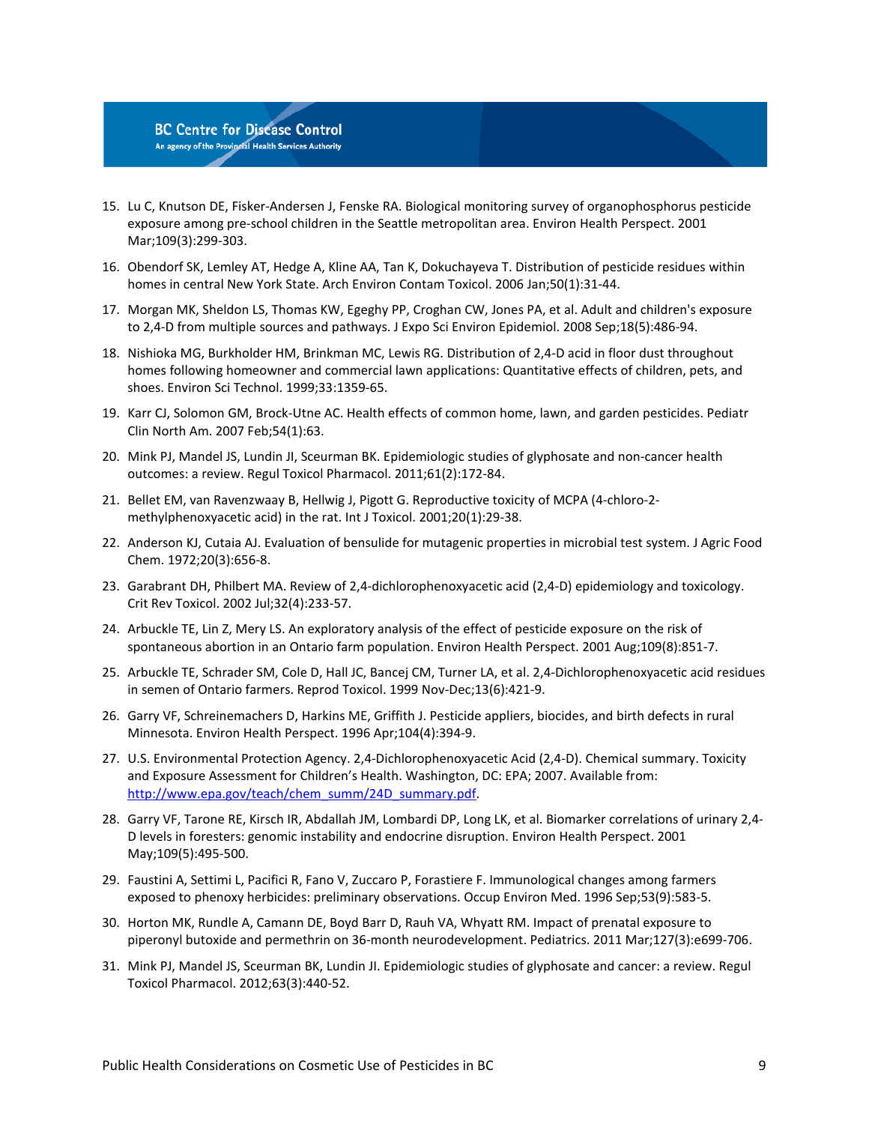

- <span id="page-10-0"></span>15. Lu C, Knutson DE, Fisker-Andersen J, Fenske RA. Biological monitoring survey of organophosphorus pesticide exposure among pre-school children in the Seattle metropolitan area. Environ Health Perspect. 2001 Mar;109(3):299-303.
- <span id="page-10-1"></span>16. Obendorf SK, Lemley AT, Hedge A, Kline AA, Tan K, Dokuchayeva T. Distribution of pesticide residues within homes in central New York State. Arch Environ Contam Toxicol. 2006 Jan;50(1):31-44.
- <span id="page-10-2"></span>17. Morgan MK, Sheldon LS, Thomas KW, Egeghy PP, Croghan CW, Jones PA, et al. Adult and children's exposure to 2,4-D from multiple sources and pathways. J Expo Sci Environ Epidemiol. 2008 Sep;18(5):486-94.
- <span id="page-10-3"></span>18. Nishioka MG, Burkholder HM, Brinkman MC, Lewis RG. Distribution of 2,4-D acid in floor dust throughout homes following homeowner and commercial lawn applications: Quantitative effects of children, pets, and shoes. Environ Sci Technol. 1999;33:1359-65.
- <span id="page-10-4"></span>19. Karr CJ, Solomon GM, Brock-Utne AC. Health effects of common home, lawn, and garden pesticides. Pediatr Clin North Am. 2007 Feb;54(1):63.
- <span id="page-10-5"></span>20. Mink PJ, Mandel JS, Lundin JI, Sceurman BK. Epidemiologic studies of glyphosate and non-cancer health outcomes: a review. Regul Toxicol Pharmacol. 2011;61(2):172-84.
- <span id="page-10-6"></span>21. Bellet EM, van Ravenzwaay B, Hellwig J, Pigott G. Reproductive toxicity of MCPA (4-chloro-2 methylphenoxyacetic acid) in the rat. Int J Toxicol. 2001;20(1):29-38.
- <span id="page-10-7"></span>22. Anderson KJ, Cutaia AJ. Evaluation of bensulide for mutagenic properties in microbial test system. J Agric Food Chem. 1972;20(3):656-8.
- <span id="page-10-8"></span>23. Garabrant DH, Philbert MA. Review of 2,4-dichlorophenoxyacetic acid (2,4-D) epidemiology and toxicology. Crit Rev Toxicol. 2002 Jul;32(4):233-57.
- <span id="page-10-9"></span>24. Arbuckle TE, Lin Z, Mery LS. An exploratory analysis of the effect of pesticide exposure on the risk of spontaneous abortion in an Ontario farm population. Environ Health Perspect. 2001 Aug;109(8):851-7.
- <span id="page-10-10"></span>25. Arbuckle TE, Schrader SM, Cole D, Hall JC, Bancej CM, Turner LA, et al. 2,4-Dichlorophenoxyacetic acid residues in semen of Ontario farmers. Reprod Toxicol. 1999 Nov-Dec;13(6):421-9.
- <span id="page-10-11"></span>26. Garry VF, Schreinemachers D, Harkins ME, Griffith J. Pesticide appliers, biocides, and birth defects in rural Minnesota. Environ Health Perspect. 1996 Apr;104(4):394-9.
- <span id="page-10-12"></span>27. U.S. Environmental Protection Agency. 2,4-Dichlorophenoxyacetic Acid (2,4-D). Chemical summary. Toxicity and Exposure Assessment for Children's Health. Washington, DC: EPA; 2007. Available from: [http://www.epa.gov/teach/chem\\_summ/24D\\_summary.pdf.](http://www.epa.gov/teach/chem_summ/24D_summary.pdf)
- <span id="page-10-13"></span>28. Garry VF, Tarone RE, Kirsch IR, Abdallah JM, Lombardi DP, Long LK, et al. Biomarker correlations of urinary 2,4- D levels in foresters: genomic instability and endocrine disruption. Environ Health Perspect. 2001 May;109(5):495-500.
- <span id="page-10-14"></span>29. Faustini A, Settimi L, Pacifici R, Fano V, Zuccaro P, Forastiere F. Immunological changes among farmers exposed to phenoxy herbicides: preliminary observations. Occup Environ Med. 1996 Sep;53(9):583-5.
- <span id="page-10-15"></span>30. Horton MK, Rundle A, Camann DE, Boyd Barr D, Rauh VA, Whyatt RM. Impact of prenatal exposure to piperonyl butoxide and permethrin on 36-month neurodevelopment. Pediatrics. 2011 Mar;127(3):e699-706.
- <span id="page-10-16"></span>31. Mink PJ, Mandel JS, Sceurman BK, Lundin JI. Epidemiologic studies of glyphosate and cancer: a review. Regul Toxicol Pharmacol. 2012;63(3):440-52.